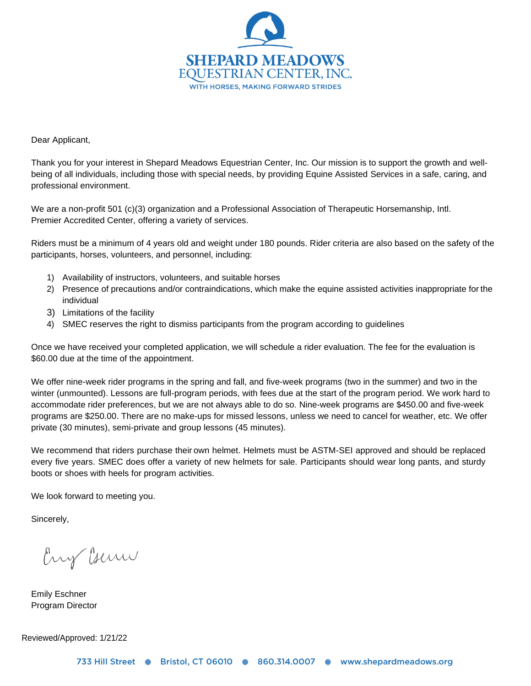

Dear Applicant,

Thank you for your interest in Shepard Meadows Equestrian Center, Inc. Our mission is to support the growth and wellbeing of all individuals, including those with special needs, by providing Equine Assisted Services in a safe, caring, and professional environment.

We are a non-profit 501 (c)(3) organization and a Professional Association of Therapeutic Horsemanship, Intl. Premier Accredited Center, offering a variety of services.

Riders must be a minimum of 4 years old and weight under 180 pounds. Rider criteria are also based on the safety of the participants, horses, volunteers, and personnel, including:

- 1) Availability of instructors, volunteers, and suitable horses
- 2) Presence of precautions and/or contraindications, which make the equine assisted activities inappropriate for the individual
- 3) Limitations of the facility
- 4) SMEC reserves the right to dismiss participants from the program according to guidelines

Once we have received your completed application, we will schedule a rider evaluation. The fee for the evaluation is \$60.00 due at the time of the appointment.

We offer nine-week rider programs in the spring and fall, and five-week programs (two in the summer) and two in the winter (unmounted). Lessons are full-program periods, with fees due at the start of the program period. We work hard to accommodate rider preferences, but we are not always able to do so. Nine-week programs are \$450.00 and five-week programs are \$250.00. There are no make-ups for missed lessons, unless we need to cancel for weather, etc. We offer private (30 minutes), semi-private and group lessons (45 minutes).

We recommend that riders purchase their own helmet. Helmets must be ASTM-SEI approved and should be replaced every five years. SMEC does offer a variety of new helmets for sale. Participants should wear long pants, and sturdy boots or shoes with heels for program activities.

We look forward to meeting you.

Sincerely,

Eny Cours

Emily Eschner Program Director

Reviewed/Approved: 1/21/22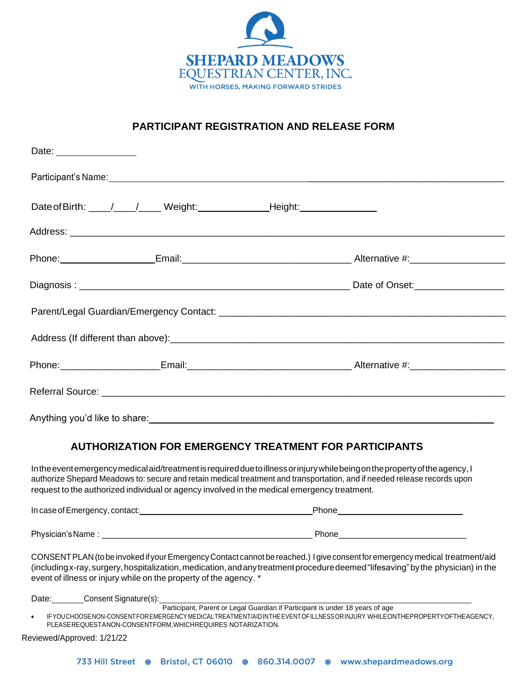

# **PARTICIPANT REGISTRATION AND RELEASE FORM**

| Date: __________________                                                         |  |  |  |
|----------------------------------------------------------------------------------|--|--|--|
|                                                                                  |  |  |  |
| Date of Birth: ____/____/_____ Weight: ___________________Height: ______________ |  |  |  |
|                                                                                  |  |  |  |
|                                                                                  |  |  |  |
|                                                                                  |  |  |  |
|                                                                                  |  |  |  |
|                                                                                  |  |  |  |
|                                                                                  |  |  |  |
|                                                                                  |  |  |  |
|                                                                                  |  |  |  |
| <b>AUTHORIZATION FOR EMERGENCY TREATMENT FOR PARTICIPANTS</b>                    |  |  |  |

Intheeventemergency medical aid/treatment is required due to illness or injury while being on the property of the agency, I authorize Shepard Meadows to: secure and retain medical treatment and transportation, and if needed release records upon request to the authorized individual or agency involved in the medical emergency treatment.

In case of Emergency, contact: example and the control of Phone Phone Phone Phone Phone Phone Phone Phone Phone Phone Phone Phone Phone Phone Phone Phone Phone Phone Phone Phone Phone Phone Phone Phone Phone Phone Phone Ph Physician'sName : \_\_\_\_\_\_\_\_\_\_\_\_\_\_\_\_\_\_\_\_\_\_\_\_\_\_\_\_\_\_\_\_\_\_\_\_\_\_\_\_\_\_\_\_\_\_ Phone\_\_\_\_\_\_\_\_\_\_\_\_\_\_\_\_\_\_\_\_\_\_\_\_\_\_\_\_

CONSENTPLAN (tobe invoked if yourEmergency Contact cannot bereached.) I giveconsentforemergency medical treatment/aid (includingx-ray, surgery, hospitalization, medication, and any treatment procedure deemed "lifesaving" by the physician) in the event of illness or injury while on the property of the agency. \*

Date: Consent Signature(s):

Participant, Parent or Legal Guardian if Participant is under 18 years of age

• IFYOUCHOOSENON-CONSENTFOREMERGENCYMEDICALTREATMENT/AIDINTHEEVENTOFILLNESSORINJURY WHILEONTHEPROPERTYOFTHEAGENCY, PLEASEREQUESTANON-CONSENTFORM,WHICHREQUIRES NOTARIZATION.

Reviewed/Approved: 1/21/22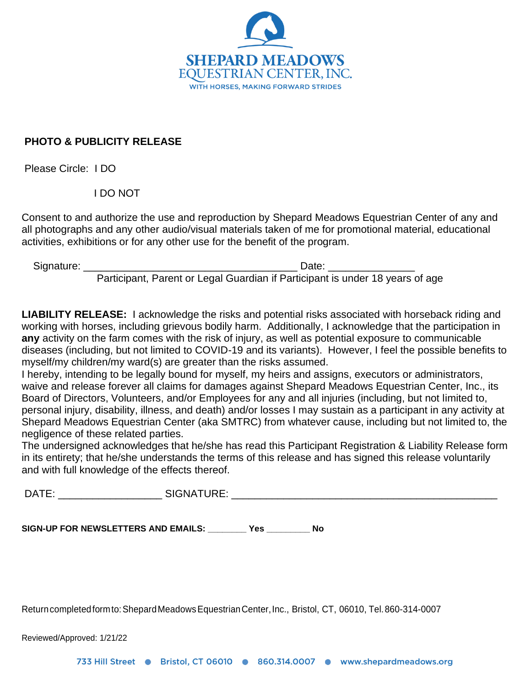

## **PHOTO & PUBLICITY RELEASE**

Please Circle: I DO

I DO NOT

Consent to and authorize the use and reproduction by Shepard Meadows Equestrian Center of any and all photographs and any other audio/visual materials taken of me for promotional material, educational activities, exhibitions or for any other use for the benefit of the program.

Signature: \_\_\_\_\_\_\_\_\_\_\_\_\_\_\_\_\_\_\_\_\_\_\_\_\_\_\_\_\_\_\_\_\_\_\_\_\_ Date: \_\_\_\_\_\_\_\_\_\_\_\_\_\_\_

Participant, Parent or Legal Guardian if Participant is under 18 years of age

**LIABILITY RELEASE:** I acknowledge the risks and potential risks associated with horseback riding and working with horses, including grievous bodily harm. Additionally, I acknowledge that the participation in **any** activity on the farm comes with the risk of injury, as well as potential exposure to communicable diseases (including, but not limited to COVID-19 and its variants). However, I feel the possible benefits to myself/my children/my ward(s) are greater than the risks assumed.

I hereby, intending to be legally bound for myself, my heirs and assigns, executors or administrators, waive and release forever all claims for damages against Shepard Meadows Equestrian Center, Inc., its Board of Directors, Volunteers, and/or Employees for any and all injuries (including, but not limited to, personal injury, disability, illness, and death) and/or losses I may sustain as a participant in any activity at Shepard Meadows Equestrian Center (aka SMTRC) from whatever cause, including but not limited to, the negligence of these related parties.

The undersigned acknowledges that he/she has read this Participant Registration & Liability Release form in its entirety; that he/she understands the terms of this release and has signed this release voluntarily and with full knowledge of the effects thereof.

DATE: \_\_\_\_\_\_\_\_\_\_\_\_\_\_\_\_\_\_ SIGNATURE: \_\_\_\_\_\_\_\_\_\_\_\_\_\_\_\_\_\_\_\_\_\_\_\_\_\_\_\_\_\_\_\_\_\_\_\_\_\_\_\_\_\_\_\_\_\_

**SIGN-UP FOR NEWSLETTERS AND EMAILS: \_\_\_\_\_\_\_\_ Yes \_\_\_\_\_\_\_\_\_ No**

Returncompletedformto:ShepardMeadowsEquestrianCenter,Inc., Bristol, CT, 06010, Tel.860-314-0007

Reviewed/Approved: 1/21/22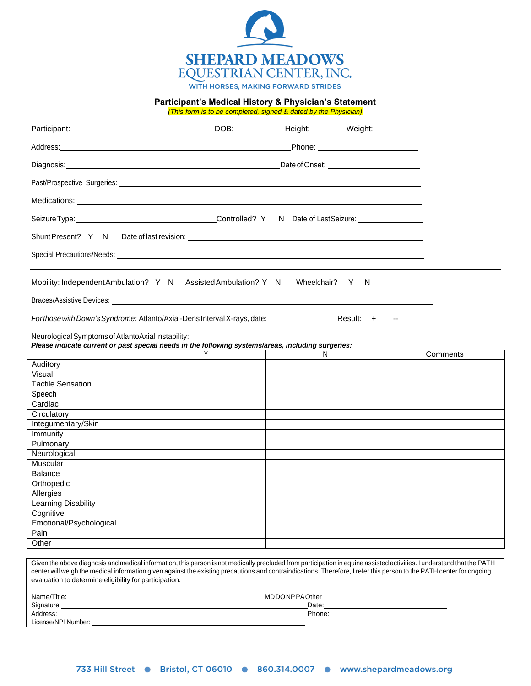

**Participant's Medical History & Physician's Statement**

*(This form is to be completed, signed & dated by the Physician)*

|                                                                | Participant: Weight: Weight: Weight: Weight: Weight: Weight: Weight: Weight: Weight: Weight: Weight: Weight: Weight: Weight: Weight: Weight: Weight: Weight: Weight: Weight: Weight: Weight: Weight: Weight: Weight: Weight: W                                                                                                                  |   |                                       |          |  |
|----------------------------------------------------------------|-------------------------------------------------------------------------------------------------------------------------------------------------------------------------------------------------------------------------------------------------------------------------------------------------------------------------------------------------|---|---------------------------------------|----------|--|
|                                                                |                                                                                                                                                                                                                                                                                                                                                 |   | _Phone: _____________________________ |          |  |
|                                                                | Diagnosis: <u>www.community.community.community.community.com</u><br>Date of Onset: <u>_________________________</u>                                                                                                                                                                                                                            |   |                                       |          |  |
|                                                                |                                                                                                                                                                                                                                                                                                                                                 |   |                                       |          |  |
|                                                                |                                                                                                                                                                                                                                                                                                                                                 |   |                                       |          |  |
|                                                                |                                                                                                                                                                                                                                                                                                                                                 |   |                                       |          |  |
|                                                                |                                                                                                                                                                                                                                                                                                                                                 |   |                                       |          |  |
|                                                                |                                                                                                                                                                                                                                                                                                                                                 |   |                                       |          |  |
|                                                                | Mobility: Independent Ambulation? Y N Assisted Ambulation? Y N Wheelchair? Y N                                                                                                                                                                                                                                                                  |   |                                       |          |  |
|                                                                | Braces/Assistive Devices: Note that the state of the state of the state of the state of the state of the state of the state of the state of the state of the state of the state of the state of the state of the state of the                                                                                                                   |   |                                       |          |  |
|                                                                | For those with Down's Syndrome: Atlanto/Axial-Dens Interval X-rays, date: _____________                                                                                                                                                                                                                                                         |   | Result: +                             |          |  |
| Neurological Symptoms of AtlantoAxial Instability: ___________ | Please indicate current or past special needs in the following systems/areas, including surgeries:                                                                                                                                                                                                                                              |   |                                       |          |  |
|                                                                |                                                                                                                                                                                                                                                                                                                                                 | N |                                       | Comments |  |
| Auditory                                                       |                                                                                                                                                                                                                                                                                                                                                 |   |                                       |          |  |
| Visual                                                         |                                                                                                                                                                                                                                                                                                                                                 |   |                                       |          |  |
| <b>Tactile Sensation</b>                                       |                                                                                                                                                                                                                                                                                                                                                 |   |                                       |          |  |
| Speech                                                         |                                                                                                                                                                                                                                                                                                                                                 |   |                                       |          |  |
| Cardiac                                                        |                                                                                                                                                                                                                                                                                                                                                 |   |                                       |          |  |
| Circulatory                                                    |                                                                                                                                                                                                                                                                                                                                                 |   |                                       |          |  |
| Integumentary/Skin                                             |                                                                                                                                                                                                                                                                                                                                                 |   |                                       |          |  |
| Immunity                                                       |                                                                                                                                                                                                                                                                                                                                                 |   |                                       |          |  |
| Pulmonary                                                      |                                                                                                                                                                                                                                                                                                                                                 |   |                                       |          |  |
| Neurological                                                   |                                                                                                                                                                                                                                                                                                                                                 |   |                                       |          |  |
| Muscular                                                       |                                                                                                                                                                                                                                                                                                                                                 |   |                                       |          |  |
| <b>Balance</b>                                                 |                                                                                                                                                                                                                                                                                                                                                 |   |                                       |          |  |
| Orthopedic                                                     |                                                                                                                                                                                                                                                                                                                                                 |   |                                       |          |  |
| Allergies                                                      |                                                                                                                                                                                                                                                                                                                                                 |   |                                       |          |  |
| Learning Disability                                            |                                                                                                                                                                                                                                                                                                                                                 |   |                                       |          |  |
| Cognitive                                                      |                                                                                                                                                                                                                                                                                                                                                 |   |                                       |          |  |
| Emotional/Psychological                                        |                                                                                                                                                                                                                                                                                                                                                 |   |                                       |          |  |
| Pain                                                           |                                                                                                                                                                                                                                                                                                                                                 |   |                                       |          |  |
| Other                                                          |                                                                                                                                                                                                                                                                                                                                                 |   |                                       |          |  |
|                                                                |                                                                                                                                                                                                                                                                                                                                                 |   |                                       |          |  |
| evaluation to determine eligibility for participation.         | Given the above diagnosis and medical information, this person is not medically precluded from participation in equine assisted activities. I understand that the PATH<br>center will weigh the medical information given against the existing precautions and contraindications. Therefore, I refer this person to the PATH center for ongoing |   |                                       |          |  |

| Name/Title:         | <b>JNPPAOther</b><br>MD |
|---------------------|-------------------------|
| Signature:          | Date                    |
| Address:            | Phone:                  |
| License/NPI Number: |                         |